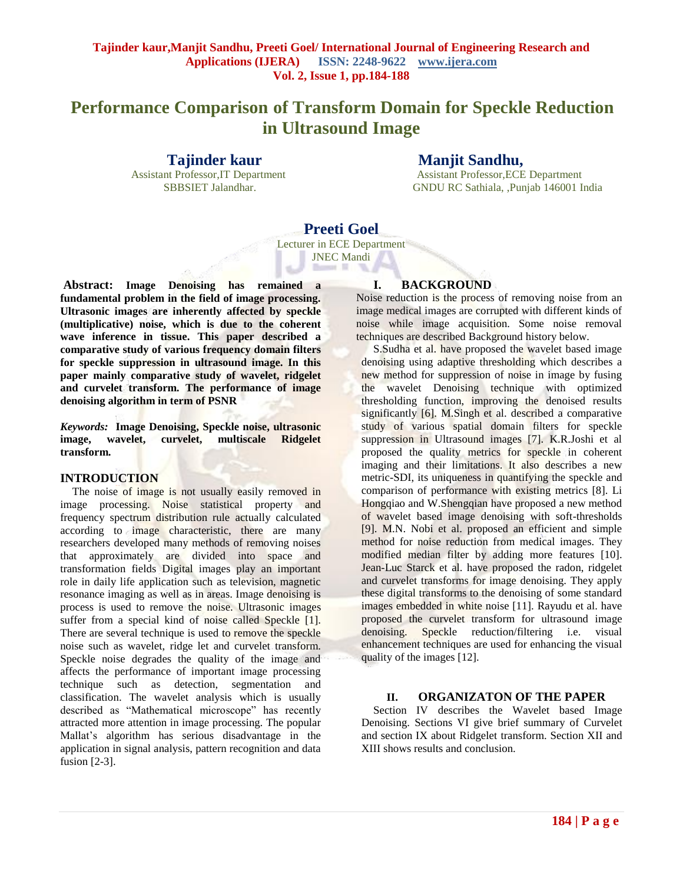# **Performance Comparison of Transform Domain for Speckle Reduction in Ultrasound Image**

## **Tajinder kaur Manjit Sandhu,**

**Assistant Professor, IT Department Assistant Professor, ECE Department** SBBSIET Jalandhar. GNDU RC Sathiala, ,Punjab 146001 India

# **Preeti Goel** Lecturer in ECE Department

JNEC Mandi

**Abstract: Image Denoising has remained a fundamental problem in the field of image processing. Ultrasonic images are inherently affected by speckle (multiplicative) noise, which is due to the coherent wave inference in tissue. This paper described a comparative study of various frequency domain filters for speckle suppression in ultrasound image. In this paper mainly comparative study of wavelet, ridgelet and curvelet transform. The performance of image denoising algorithm in term of PSNR**

*Keywords:* **Image Denoising, Speckle noise, ultrasonic image, wavelet, curvelet, multiscale Ridgelet transform.**

#### **INTRODUCTION**

The noise of image is not usually easily removed in image processing. Noise statistical property and frequency spectrum distribution rule actually calculated according to image characteristic, there are many researchers developed many methods of removing noises that approximately are divided into space and transformation fields Digital images play an important role in daily life application such as television, magnetic resonance imaging as well as in areas. Image denoising is process is used to remove the noise. Ultrasonic images suffer from a special kind of noise called Speckle [1]. There are several technique is used to remove the speckle noise such as wavelet, ridge let and curvelet transform. Speckle noise degrades the quality of the image and affects the performance of important image processing technique such as detection, segmentation and classification. The wavelet analysis which is usually described as "Mathematical microscope" has recently attracted more attention in image processing. The popular Mallat's algorithm has serious disadvantage in the application in signal analysis, pattern recognition and data fusion [2-3].

## **I. BACKGROUND**

Noise reduction is the process of removing noise from an image medical images are corrupted with different kinds of noise while image acquisition. Some noise removal techniques are described Background history below.

S.Sudha et al. have proposed the wavelet based image denoising using adaptive thresholding which describes a new method for suppression of noise in image by fusing the wavelet Denoising technique with optimized thresholding function, improving the denoised results significantly [6]. M.Singh et al. described a comparative study of various spatial domain filters for speckle suppression in Ultrasound images [7]. K.R.Joshi et al proposed the quality metrics for speckle in coherent imaging and their limitations. It also describes a new metric-SDI, its uniqueness in quantifying the speckle and comparison of performance with existing metrics [8]. Li Hongqiao and W.Shengqian have proposed a new method of wavelet based image denoising with soft-thresholds [9]. M.N. Nobi et al. proposed an efficient and simple method for noise reduction from medical images. They modified median filter by adding more features [10]. Jean-Luc Starck et al. have proposed the radon, ridgelet and curvelet transforms for image denoising. They apply these digital transforms to the denoising of some standard images embedded in white noise [11]. Rayudu et al. have proposed the curvelet transform for ultrasound image denoising. Speckle reduction/filtering i.e. visual enhancement techniques are used for enhancing the visual quality of the images [12].

#### **II. ORGANIZATON OF THE PAPER**

Section IV describes the Wavelet based Image Denoising. Sections VI give brief summary of Curvelet and section IX about Ridgelet transform. Section XII and XIII shows results and conclusion.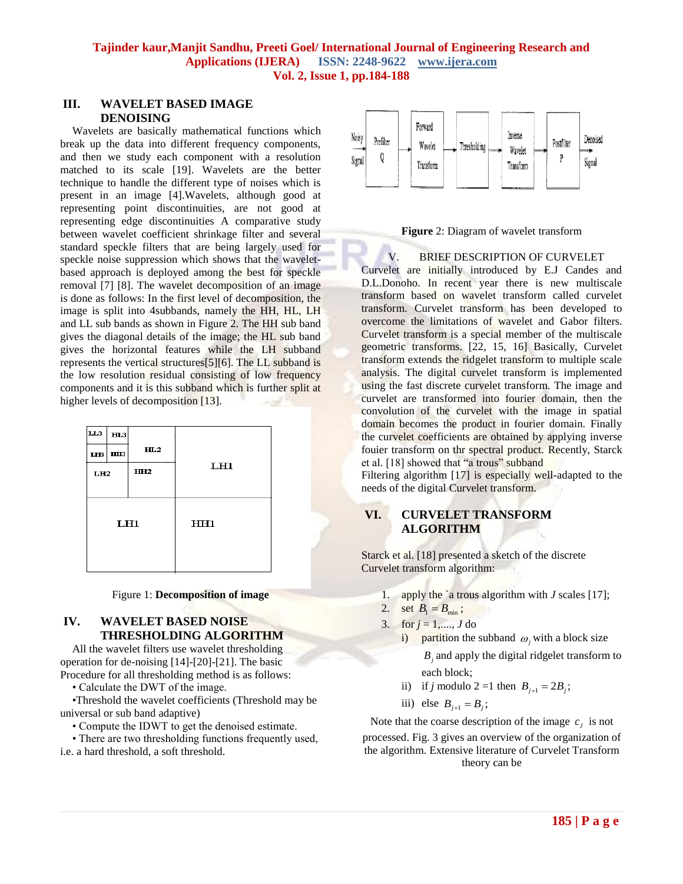#### **III. WAVELET BASED IMAGE DENOISING**

Wavelets are basically mathematical functions which break up the data into different frequency components, and then we study each component with a resolution matched to its scale [19]. Wavelets are the better technique to handle the different type of noises which is present in an image [4].Wavelets, although good at representing point discontinuities, are not good at representing edge discontinuities A comparative study between wavelet coefficient shrinkage filter and several standard speckle filters that are being largely used for speckle noise suppression which shows that the waveletbased approach is deployed among the best for speckle removal [7] [8]. The wavelet decomposition of an image is done as follows: In the first level of decomposition, the image is split into 4subbands, namely the HH, HL, LH and LL sub bands as shown in Figure 2. The HH sub band gives the diagonal details of the image; the HL sub band gives the horizontal features while the LH subband represents the vertical structures[5][6]. The LL subband is the low resolution residual consisting of low frequency components and it is this subband which is further split at higher levels of decomposition [13].

| LL3             | H <sub>L3</sub> |                 |     |  |
|-----------------|-----------------|-----------------|-----|--|
|                 | LH3   HH3       | HL2             |     |  |
| L <sub>H2</sub> |                 | HH <sub>2</sub> | LH1 |  |
|                 |                 |                 |     |  |
| LH1             |                 |                 | HH1 |  |
|                 |                 |                 |     |  |
|                 |                 |                 |     |  |

#### Figure 1: **Decomposition of image**

#### **IV. WAVELET BASED NOISE THRESHOLDING ALGORITHM**

All the wavelet filters use wavelet thresholding operation for de-noising [14]-[20]-[21]. The basic Procedure for all thresholding method is as follows:

• Calculate the DWT of the image.

•Threshold the wavelet coefficients (Threshold may be universal or sub band adaptive)

• Compute the IDWT to get the denoised estimate.

• There are two thresholding functions frequently used, i.e. a hard threshold, a soft threshold.



**Figure** 2: Diagram of wavelet transform

V. BRIEF DESCRIPTION OF CURVELET Curvelet are initially introduced by E.J Candes and

D.L.Donoho. In recent year there is new multiscale transform based on wavelet transform called curvelet transform. Curvelet transform has been developed to overcome the limitations of wavelet and Gabor filters. Curvelet transform is a special member of the multiscale geometric transforms. [22, 15, 16] Basically, Curvelet transform extends the ridgelet transform to multiple scale analysis. The digital curvelet transform is implemented using the fast discrete curvelet transform. The image and curvelet are transformed into fourier domain, then the convolution of the curvelet with the image in spatial domain becomes the product in fourier domain. Finally the curvelet coefficients are obtained by applying inverse fouier transform on thr spectral product. Recently, Starck et al. [18] showed that "a trous" subband

Filtering algorithm [17] is especially well-adapted to the needs of the digital Curvelet transform.

## **VI. CURVELET TRANSFORM ALGORITHM**

Starck et al. [18] presented a sketch of the discrete Curvelet transform algorithm:

- 1. apply the `a trous algorithm with *J* scales [17];
- 2. set  $B_1 = B_{\min}$ ;
- 3. for  $j = 1, ..., J$  do

*Bj* and apply the digital ridgelet transform to each block;

- ii) if *j* modulo 2 = 1 then  $B_{j+1} = 2B_j$ ;
- iii) else  $B_{j+1} = B_j$ ;

Note that the coarse description of the image  $c_j$  is not processed. Fig. 3 gives an overview of the organization of the algorithm. Extensive literature of Curvelet Transform theory can be

i) partition the subband  $\omega_j$  with a block size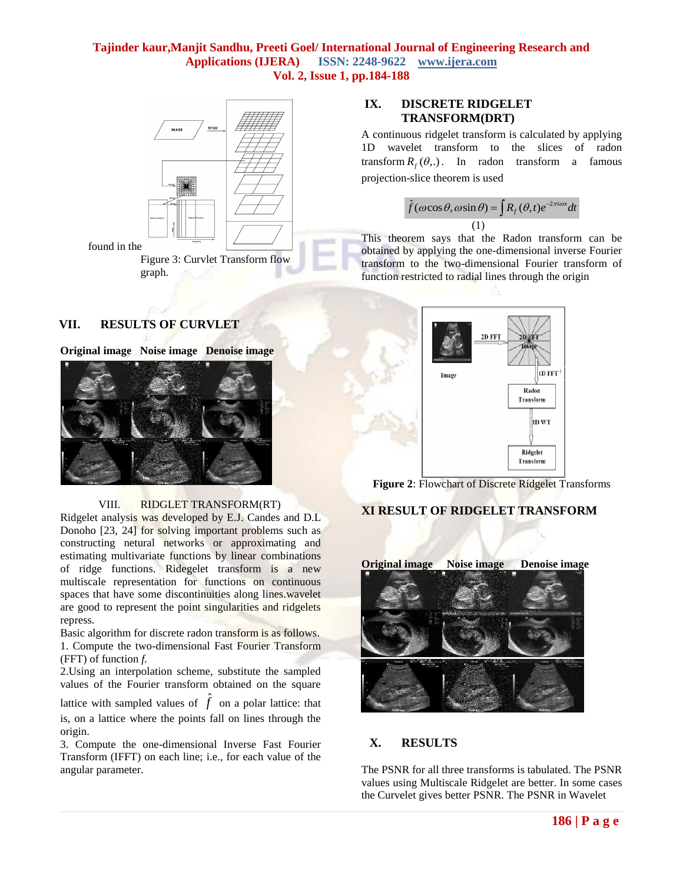

## **VII. RESULTS OF CURVLET**





#### VIII. RIDGLET TRANSFORM(RT)

Ridgelet analysis was developed by E.J. Candes and D.L Donoho [23, 24] for solving important problems such as constructing netural networks or approximating and estimating multivariate functions by linear combinations of ridge functions. Ridegelet transform is a new multiscale representation for functions on continuous spaces that have some discontinuities along lines.wavelet are good to represent the point singularities and ridgelets repress.

Basic algorithm for discrete radon transform is as follows. 1. Compute the two-dimensional Fast Fourier Transform (FFT) of function *f.*

2.Using an interpolation scheme, substitute the sampled values of the Fourier transform obtained on the square

lattice with sampled values of  $\hat{f}$  on a polar lattice: that is, on a lattice where the points fall on lines through the origin.

3. Compute the one-dimensional Inverse Fast Fourier Transform (IFFT) on each line; i.e., for each value of the angular parameter.

## **IX. DISCRETE RIDGELET TRANSFORM(DRT)**

A continuous ridgelet transform is calculated by applying 1D wavelet transform to the slices of radon transform  $R_f(\theta,.)$ . In radon transform a famous projection-slice theorem is used

$$
\hat{f}(\omega \cos \theta, \omega \sin \theta) = \int R_f(\theta, t) e^{-2\pi i \omega x} dt
$$
\n(1)

 $\overline{a}$ 

This theorem says that the Radon transform can be obtained by applying the one-dimensional inverse Fourier transform to the two-dimensional Fourier transform of function restricted to radial lines through the origin





## **XI RESULT OF RIDGELET TRANSFORM**



## **X. RESULTS**

The PSNR for all three transforms is tabulated. The PSNR values using Multiscale Ridgelet are better. In some cases the Curvelet gives better PSNR. The PSNR in Wavelet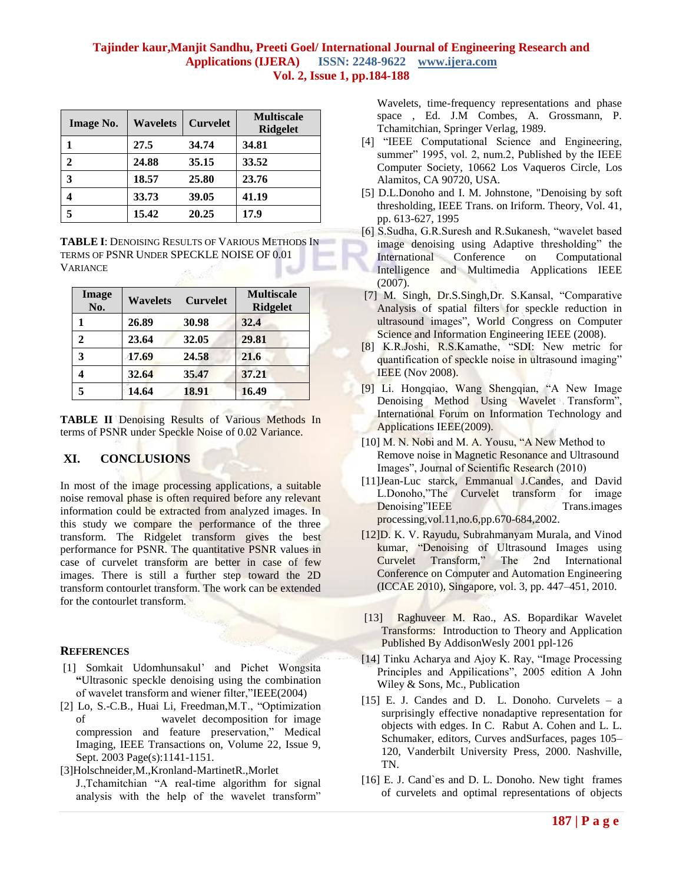| <b>Image No.</b> | <b>Wavelets</b> | <b>Curvelet</b> | <b>Multiscale</b><br><b>Ridgelet</b> |
|------------------|-----------------|-----------------|--------------------------------------|
|                  | 27.5            | 34.74           | 34.81                                |
| 2                | 24.88           | 35.15           | 33.52                                |
| 3                | 18.57           | 25.80           | 23.76                                |
|                  | 33.73           | 39.05           | 41.19                                |
| 5                | 15.42           | 20.25           | 17.9                                 |

**TABLE I**: DENOISING RESULTS OF VARIOUS METHODS IN TERMS OF PSNR UNDER SPECKLE NOISE OF 0.01 **VARIANCE** 

| Image<br>No. | <b>Wavelets</b> | <b>Curvelet</b> | <b>Multiscale</b><br><b>Ridgelet</b> |
|--------------|-----------------|-----------------|--------------------------------------|
|              | 26.89           | 30.98           | 32.4                                 |
| 2            | 23.64           | 32.05           | 29.81                                |
| 3            | 17.69           | 24.58           | 21.6                                 |
| 4            | 32.64           | 35.47           | 37.21                                |
|              | 14.64           | 18.91           | 16.49                                |

TABLE II Denoising Results of Various Methods In terms of PSNR under Speckle Noise of 0.02 Variance.

## **XI. CONCLUSIONS**

In most of the image processing applications, a suitable noise removal phase is often required before any relevant information could be extracted from analyzed images. In this study we compare the performance of the three transform. The Ridgelet transform gives the best performance for PSNR. The quantitative PSNR values in case of curvelet transform are better in case of few images. There is still a further step toward the 2D transform contourlet transform. The work can be extended for the contourlet transform.

#### **REFERENCES**

- [1] Somkait Udomhunsakul' and Pichet Wongsita **"**Ultrasonic speckle denoising using the combination of wavelet transform and wiener filter,"IEEE(2004)
- [2] Lo, S.-C.B., Huai Li, Freedman,M.T., "Optimization of wavelet decomposition for image compression and feature preservation," Medical Imaging, IEEE Transactions on, Volume 22, Issue 9, Sept. 2003 Page(s):1141-1151.
- [3]Holschneider,M.,Kronland-MartinetR.,Morlet J.,Tchamitchian "A real-time algorithm for signal analysis with the help of the wavelet transform"

Wavelets, time-frequency representations and phase space , Ed. J.M Combes, A. Grossmann, P. Tchamitchian, Springer Verlag, 1989.

- [4] "IEEE Computational Science and Engineering, summer" 1995, vol. 2, num.2, Published by the IEEE Computer Society, 10662 Los Vaqueros Circle, Los Alamitos, CA 90720, USA.
- [5] D.L.Donoho and I. M. Johnstone, "Denoising by soft thresholding, IEEE Trans. on Iriform. Theory, Vol. 41, pp. 613-627, 1995
- [6] S.Sudha, G.R.Suresh and R.Sukanesh, "wavelet based image denoising using Adaptive thresholding" the International Conference on Computational Intelligence and Multimedia Applications IEEE (2007).
- [7] M. Singh, Dr.S.Singh,Dr. S.Kansal, "Comparative Analysis of spatial filters for speckle reduction in ultrasound images", World Congress on Computer Science and Information Engineering IEEE (2008).
- [8] K.R.Joshi, R.S.Kamathe, "SDI: New metric for quantification of speckle noise in ultrasound imaging" IEEE (Nov 2008).
- [9] Li. Hongqiao, Wang Shengqian, "A New Image Denoising Method Using Wavelet Transform", International Forum on Information Technology and Applications IEEE(2009).
- [10] M. N. Nobi and M. A. Yousu, "A New Method to Remove noise in Magnetic Resonance and Ultrasound Images", Journal of Scientific Research (2010)
- [11]Jean-Luc starck, Emmanual J.Candes, and David L.Donoho,"The Curvelet transform for image Denoising"IEEE Trans.images processing,vol.11,no.6,pp.670-684,2002.
- [12]D. K. V. Rayudu, Subrahmanyam Murala, and Vinod kumar, "Denoising of Ultrasound Images using Curvelet Transform," The 2nd International Conference on Computer and Automation Engineering (ICCAE 2010), Singapore, vol. 3, pp. 447–451, 2010.
- [13] Raghuveer M. Rao., AS. Bopardikar Wavelet Transforms: Introduction to Theory and Application Published By AddisonWesly 2001 ppl-126
- [14] Tinku Acharya and Ajoy K. Ray, "Image Processing Principles and Appilications", 2005 edition A John Wiley & Sons, Mc., Publication
- [15] E. J. Candes and D. L. Donoho. Curvelets a surprisingly effective nonadaptive representation for objects with edges. In C. Rabut A. Cohen and L. L. Schumaker, editors, Curves andSurfaces, pages 105– 120, Vanderbilt University Press, 2000. Nashville, TN.
- [16] E. J. Cand`es and D. L. Donoho. New tight frames of curvelets and optimal representations of objects